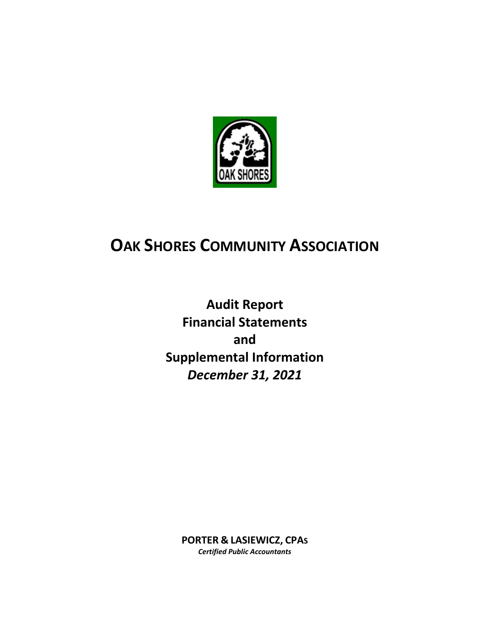

# **OAK SHORES COMMUNITY ASSOCIATION**

**Audit Report Financial Statements and Supplemental Information** *December 31, 2021*

**PORTER & LASIEWICZ, CPAS** *Certified Public Accountants*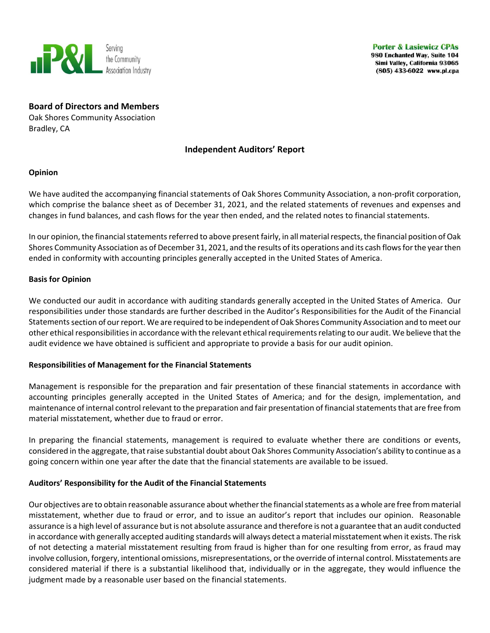

**Board of Directors and Members** Oak Shores Community Association Bradley, CA

### **Independent Auditors' Report**

#### **Opinion**

We have audited the accompanying financial statements of Oak Shores Community Association, a non-profit corporation, which comprise the balance sheet as of December 31, 2021, and the related statements of revenues and expenses and changes in fund balances, and cash flows for the year then ended, and the related notes to financial statements.

In our opinion, the financial statements referred to above present fairly, in all material respects, the financial position of Oak Shores Community Association as of December 31, 2021, and the results of its operations and its cash flows for the year then ended in conformity with accounting principles generally accepted in the United States of America.

#### **Basis for Opinion**

We conducted our audit in accordance with auditing standards generally accepted in the United States of America. Our responsibilities under those standards are further described in the Auditor's Responsibilities for the Audit of the Financial Statements section of our report. We are required to be independent of Oak Shores Community Association and to meet our other ethical responsibilities in accordance with the relevant ethical requirements relating to our audit. We believe that the audit evidence we have obtained is sufficient and appropriate to provide a basis for our audit opinion.

#### **Responsibilities of Management for the Financial Statements**

Management is responsible for the preparation and fair presentation of these financial statements in accordance with accounting principles generally accepted in the United States of America; and for the design, implementation, and maintenance of internal control relevant to the preparation and fair presentation of financial statements that are free from material misstatement, whether due to fraud or error.

In preparing the financial statements, management is required to evaluate whether there are conditions or events, considered in the aggregate, thatraise substantial doubt about Oak Shores Community Association's ability to continue as a going concern within one year after the date that the financial statements are available to be issued.

### **Auditors' Responsibility for the Audit of the Financial Statements**

Our objectives are to obtain reasonable assurance about whether the financial statements as a whole are free from material misstatement, whether due to fraud or error, and to issue an auditor's report that includes our opinion. Reasonable assurance is a high level of assurance but is not absolute assurance and therefore is not a guarantee that an audit conducted in accordance with generally accepted auditing standards will always detect a material misstatement when it exists. The risk of not detecting a material misstatement resulting from fraud is higher than for one resulting from error, as fraud may involve collusion, forgery, intentional omissions, misrepresentations, orthe override of internal control. Misstatements are considered material if there is a substantial likelihood that, individually or in the aggregate, they would influence the judgment made by a reasonable user based on the financial statements.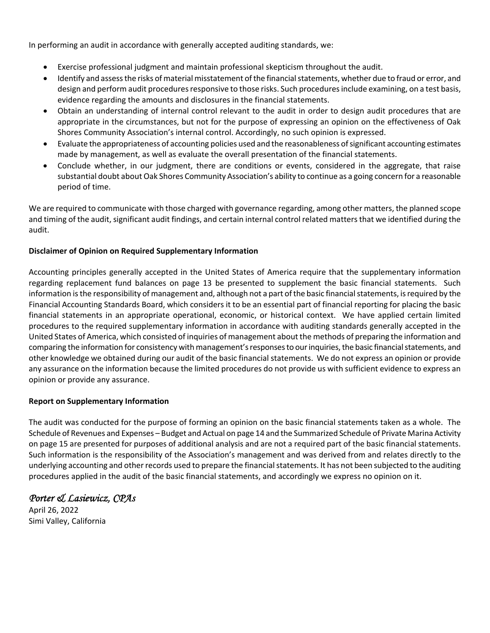In performing an audit in accordance with generally accepted auditing standards, we:

- Exercise professional judgment and maintain professional skepticism throughout the audit.
- Identify and assess the risks of material misstatement of the financial statements, whether due to fraud or error, and design and perform audit procedures responsive to those risks. Such procedures include examining, on a test basis, evidence regarding the amounts and disclosures in the financial statements.
- Obtain an understanding of internal control relevant to the audit in order to design audit procedures that are appropriate in the circumstances, but not for the purpose of expressing an opinion on the effectiveness of Oak Shores Community Association's internal control. Accordingly, no such opinion is expressed.
- Evaluate the appropriateness of accounting policies used and the reasonableness of significant accounting estimates made by management, as well as evaluate the overall presentation of the financial statements.
- Conclude whether, in our judgment, there are conditions or events, considered in the aggregate, that raise substantial doubt about Oak Shores Community Association's ability to continue as a going concern for a reasonable period of time.

We are required to communicate with those charged with governance regarding, among other matters, the planned scope and timing of the audit, significant audit findings, and certain internal control related matters that we identified during the audit.

### **Disclaimer of Opinion on Required Supplementary Information**

Accounting principles generally accepted in the United States of America require that the supplementary information regarding replacement fund balances on page 13 be presented to supplement the basic financial statements. Such information is the responsibility of management and, although not a part of the basic financial statements, is required by the Financial Accounting Standards Board, which considers it to be an essential part of financial reporting for placing the basic financial statements in an appropriate operational, economic, or historical context. We have applied certain limited procedures to the required supplementary information in accordance with auditing standards generally accepted in the United States of America, which consisted of inquiries of management about the methods of preparing the information and comparing the information for consistency with management's responses to our inquiries, the basic financial statements, and other knowledge we obtained during our audit of the basic financial statements. We do not express an opinion or provide any assurance on the information because the limited procedures do not provide us with sufficient evidence to express an opinion or provide any assurance.

#### **Report on Supplementary Information**

The audit was conducted for the purpose of forming an opinion on the basic financial statements taken as a whole. The Schedule of Revenues and Expenses – Budget and Actual on page 14 and the Summarized Schedule of Private Marina Activity on page 15 are presented for purposes of additional analysis and are not a required part of the basic financial statements. Such information is the responsibility of the Association's management and was derived from and relates directly to the underlying accounting and other records used to prepare the financial statements. It has not been subjected to the auditing procedures applied in the audit of the basic financial statements, and accordingly we express no opinion on it.

### *Porter & Lasiewicz, CPAs*

April 26, 2022 Simi Valley, California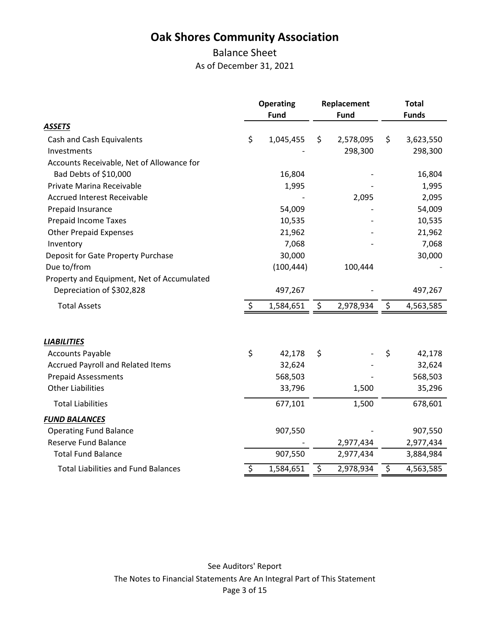Balance Sheet As of December 31, 2021

|                                            | <b>Operating</b> |             | Replacement     | <b>Total</b> |              |
|--------------------------------------------|------------------|-------------|-----------------|--------------|--------------|
|                                            |                  | <b>Fund</b> | <b>Fund</b>     |              | <b>Funds</b> |
| <b>ASSETS</b>                              |                  |             |                 |              |              |
| Cash and Cash Equivalents                  | \$               | 1,045,455   | \$<br>2,578,095 | \$           | 3,623,550    |
| Investments                                |                  |             | 298,300         |              | 298,300      |
| Accounts Receivable, Net of Allowance for  |                  |             |                 |              |              |
| Bad Debts of \$10,000                      |                  | 16,804      |                 |              | 16,804       |
| Private Marina Receivable                  |                  | 1,995       |                 |              | 1,995        |
| <b>Accrued Interest Receivable</b>         |                  |             | 2,095           |              | 2,095        |
| Prepaid Insurance                          |                  | 54,009      |                 |              | 54,009       |
| <b>Prepaid Income Taxes</b>                |                  | 10,535      |                 |              | 10,535       |
| <b>Other Prepaid Expenses</b>              |                  | 21,962      |                 |              | 21,962       |
| Inventory                                  |                  | 7,068       |                 |              | 7,068        |
| Deposit for Gate Property Purchase         |                  | 30,000      |                 |              | 30,000       |
| Due to/from                                |                  | (100, 444)  | 100,444         |              |              |
| Property and Equipment, Net of Accumulated |                  |             |                 |              |              |
| Depreciation of \$302,828                  |                  | 497,267     |                 |              | 497,267      |
| <b>Total Assets</b>                        | \$               | 1,584,651   | \$<br>2,978,934 | \$           | 4,563,585    |
|                                            |                  |             |                 |              |              |
| <b>LIABILITIES</b>                         |                  |             |                 |              |              |
| <b>Accounts Payable</b>                    | \$               | 42,178      | \$              | \$           | 42,178       |
| <b>Accrued Payroll and Related Items</b>   |                  | 32,624      |                 |              | 32,624       |
| <b>Prepaid Assessments</b>                 |                  | 568,503     |                 |              | 568,503      |
| <b>Other Liabilities</b>                   |                  | 33,796      | 1,500           |              | 35,296       |
| <b>Total Liabilities</b>                   |                  | 677,101     | 1,500           |              | 678,601      |
| <b>FUND BALANCES</b>                       |                  |             |                 |              |              |
| <b>Operating Fund Balance</b>              |                  | 907,550     |                 |              | 907,550      |
| <b>Reserve Fund Balance</b>                |                  |             | 2,977,434       |              | 2,977,434    |
| <b>Total Fund Balance</b>                  |                  | 907,550     | 2,977,434       |              | 3,884,984    |
| <b>Total Liabilities and Fund Balances</b> | \$               | 1,584,651   | \$<br>2,978,934 | \$           | 4,563,585    |

Page 3 of 15 See Auditors' Report The Notes to Financial Statements Are An Integral Part of This Statement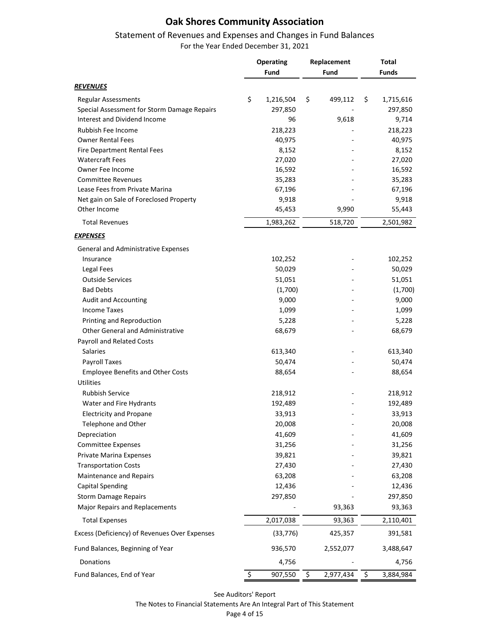### Statement of Revenues and Expenses and Changes in Fund Balances

For the Year Ended December 31, 2021

|                                               |                         | <b>Operating</b> | Replacement |           | <b>Total</b> |              |
|-----------------------------------------------|-------------------------|------------------|-------------|-----------|--------------|--------------|
|                                               |                         | Fund             |             | Fund      |              | <b>Funds</b> |
| <b>REVENUES</b>                               |                         |                  |             |           |              |              |
| <b>Regular Assessments</b>                    | \$                      | 1,216,504        | \$          | 499,112   | \$           | 1,715,616    |
| Special Assessment for Storm Damage Repairs   |                         | 297,850          |             |           |              | 297,850      |
| Interest and Dividend Income                  |                         | 96               |             | 9,618     |              | 9,714        |
| Rubbish Fee Income                            |                         | 218,223          |             |           |              | 218,223      |
| <b>Owner Rental Fees</b>                      |                         | 40,975           |             |           |              | 40,975       |
| Fire Department Rental Fees                   |                         | 8,152            |             |           |              | 8,152        |
| <b>Watercraft Fees</b>                        |                         | 27,020           |             |           |              | 27,020       |
| Owner Fee Income                              |                         | 16,592           |             |           |              | 16,592       |
| <b>Committee Revenues</b>                     |                         | 35,283           |             |           |              | 35,283       |
| Lease Fees from Private Marina                |                         | 67,196           |             |           |              | 67,196       |
| Net gain on Sale of Foreclosed Property       |                         | 9,918            |             |           |              | 9,918        |
| Other Income                                  |                         | 45,453           |             | 9,990     |              | 55,443       |
| <b>Total Revenues</b>                         |                         | 1,983,262        |             | 518,720   |              | 2,501,982    |
| <b>EXPENSES</b>                               |                         |                  |             |           |              |              |
| General and Administrative Expenses           |                         |                  |             |           |              |              |
| Insurance                                     |                         | 102,252          |             |           |              | 102,252      |
| Legal Fees                                    |                         | 50,029           |             |           |              | 50,029       |
| <b>Outside Services</b>                       |                         | 51,051           |             |           |              | 51,051       |
| <b>Bad Debts</b>                              |                         | (1,700)          |             |           |              | (1,700)      |
| Audit and Accounting                          |                         | 9,000            |             |           |              | 9,000        |
| <b>Income Taxes</b>                           |                         | 1,099            |             |           |              | 1,099        |
| Printing and Reproduction                     |                         | 5,228            |             |           |              | 5,228        |
| Other General and Administrative              |                         | 68,679           |             |           |              | 68,679       |
| Payroll and Related Costs                     |                         |                  |             |           |              |              |
| <b>Salaries</b>                               |                         | 613,340          |             |           |              | 613,340      |
| Payroll Taxes                                 |                         | 50,474           |             |           |              | 50,474       |
| <b>Employee Benefits and Other Costs</b>      |                         | 88,654           |             |           |              | 88,654       |
| <b>Utilities</b>                              |                         |                  |             |           |              |              |
| <b>Rubbish Service</b>                        |                         | 218,912          |             |           |              | 218,912      |
| Water and Fire Hydrants                       |                         | 192,489          |             |           |              | 192,489      |
| <b>Electricity and Propane</b>                |                         | 33,913           |             |           |              | 33,913       |
| Telephone and Other                           |                         | 20,008           |             |           |              | 20,008       |
| Depreciation                                  |                         | 41,609           |             |           |              | 41,609       |
| <b>Committee Expenses</b>                     |                         | 31,256           |             |           |              | 31,256       |
| Private Marina Expenses                       |                         | 39,821           |             |           |              | 39,821       |
| <b>Transportation Costs</b>                   |                         | 27,430           |             |           |              | 27,430       |
| Maintenance and Repairs                       |                         | 63,208           |             |           |              | 63,208       |
| Capital Spending                              |                         | 12,436           |             |           |              | 12,436       |
| <b>Storm Damage Repairs</b>                   |                         | 297,850          |             |           |              | 297,850      |
| Major Repairs and Replacements                |                         |                  |             | 93,363    |              | 93,363       |
| <b>Total Expenses</b>                         |                         | 2,017,038        |             | 93,363    |              | 2,110,401    |
| Excess (Deficiency) of Revenues Over Expenses |                         | (33, 776)        |             | 425,357   |              | 391,581      |
| Fund Balances, Beginning of Year              |                         | 936,570          |             | 2,552,077 |              | 3,488,647    |
| Donations                                     |                         | 4,756            |             |           |              | 4,756        |
| Fund Balances, End of Year                    | $\overline{\mathsf{S}}$ | 907,550          | \$          | 2,977,434 | \$           | 3,884,984    |

The Notes to Financial Statements Are An Integral Part of This Statement Page 4 of 15 See Auditors' Report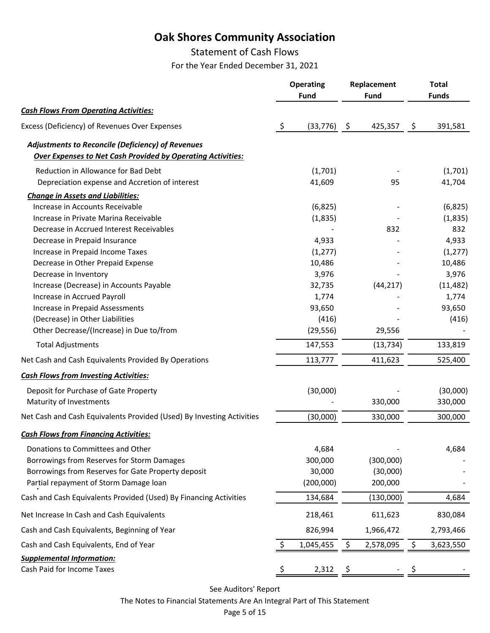### Statement of Cash Flows For the Year Ended December 31, 2021

|                                                                                                                                                                                                                                                                                                                                                                                                                                                                                                 | <b>Operating</b><br>Fund |                                                                                                               |      | Replacement<br><b>Fund</b>       | <b>Total</b><br><b>Funds</b> |                                                                                                            |
|-------------------------------------------------------------------------------------------------------------------------------------------------------------------------------------------------------------------------------------------------------------------------------------------------------------------------------------------------------------------------------------------------------------------------------------------------------------------------------------------------|--------------------------|---------------------------------------------------------------------------------------------------------------|------|----------------------------------|------------------------------|------------------------------------------------------------------------------------------------------------|
| <b>Cash Flows From Operating Activities:</b>                                                                                                                                                                                                                                                                                                                                                                                                                                                    |                          |                                                                                                               |      |                                  |                              |                                                                                                            |
| Excess (Deficiency) of Revenues Over Expenses                                                                                                                                                                                                                                                                                                                                                                                                                                                   | \$                       | (33, 776)                                                                                                     | - \$ | 425,357                          | \$                           | 391,581                                                                                                    |
| Adjustments to Reconcile (Deficiency) of Revenues<br><b>Over Expenses to Net Cash Provided by Operating Activities:</b>                                                                                                                                                                                                                                                                                                                                                                         |                          |                                                                                                               |      |                                  |                              |                                                                                                            |
| Reduction in Allowance for Bad Debt<br>Depreciation expense and Accretion of interest                                                                                                                                                                                                                                                                                                                                                                                                           |                          | (1,701)<br>41,609                                                                                             |      | 95                               |                              | (1,701)<br>41,704                                                                                          |
| <b>Change in Assets and Liabilities:</b><br>Increase in Accounts Receivable<br>Increase in Private Marina Receivable<br>Decrease in Accrued Interest Receivables<br>Decrease in Prepaid Insurance<br>Increase in Prepaid Income Taxes<br>Decrease in Other Prepaid Expense<br>Decrease in Inventory<br>Increase (Decrease) in Accounts Payable<br>Increase in Accrued Payroll<br>Increase in Prepaid Assessments<br>(Decrease) in Other Liabilities<br>Other Decrease/(Increase) in Due to/from |                          | (6,825)<br>(1,835)<br>4,933<br>(1, 277)<br>10,486<br>3,976<br>32,735<br>1,774<br>93,650<br>(416)<br>(29, 556) |      | 832<br>(44, 217)<br>29,556       |                              | (6,825)<br>(1,835)<br>832<br>4,933<br>(1, 277)<br>10,486<br>3,976<br>(11, 482)<br>1,774<br>93,650<br>(416) |
| <b>Total Adjustments</b>                                                                                                                                                                                                                                                                                                                                                                                                                                                                        |                          | 147,553                                                                                                       |      | (13, 734)                        |                              | 133,819                                                                                                    |
| Net Cash and Cash Equivalents Provided By Operations                                                                                                                                                                                                                                                                                                                                                                                                                                            |                          | 113,777                                                                                                       |      | 411,623                          |                              | 525,400                                                                                                    |
| <b>Cash Flows from Investing Activities:</b>                                                                                                                                                                                                                                                                                                                                                                                                                                                    |                          |                                                                                                               |      |                                  |                              |                                                                                                            |
| Deposit for Purchase of Gate Property<br>Maturity of Investments                                                                                                                                                                                                                                                                                                                                                                                                                                |                          | (30,000)                                                                                                      |      | 330,000                          |                              | (30,000)<br>330,000                                                                                        |
| Net Cash and Cash Equivalents Provided (Used) By Investing Activities                                                                                                                                                                                                                                                                                                                                                                                                                           |                          | (30,000)                                                                                                      |      | 330,000                          |                              | 300,000                                                                                                    |
| <b>Cash Flows from Financing Activities:</b>                                                                                                                                                                                                                                                                                                                                                                                                                                                    |                          |                                                                                                               |      |                                  |                              |                                                                                                            |
| Donations to Committees and Other<br>Borrowings from Reserves for Storm Damages<br>Borrowings from Reserves for Gate Property deposit<br>Partial repayment of Storm Damage loan                                                                                                                                                                                                                                                                                                                 |                          | 4,684<br>300,000<br>30,000<br>(200,000)                                                                       |      | (300,000)<br>(30,000)<br>200,000 |                              | 4,684                                                                                                      |
| Cash and Cash Equivalents Provided (Used) By Financing Activities                                                                                                                                                                                                                                                                                                                                                                                                                               |                          | 134,684                                                                                                       |      | (130,000)                        |                              | 4,684                                                                                                      |
| Net Increase In Cash and Cash Equivalents                                                                                                                                                                                                                                                                                                                                                                                                                                                       |                          | 218,461                                                                                                       |      | 611,623                          |                              | 830,084                                                                                                    |
| Cash and Cash Equivalents, Beginning of Year                                                                                                                                                                                                                                                                                                                                                                                                                                                    |                          | 826,994                                                                                                       |      | 1,966,472                        |                              | 2,793,466                                                                                                  |
| Cash and Cash Equivalents, End of Year                                                                                                                                                                                                                                                                                                                                                                                                                                                          |                          | 1,045,455                                                                                                     | \$   | 2,578,095                        | \$                           | 3,623,550                                                                                                  |
| <b>Supplemental Information:</b><br>Cash Paid for Income Taxes                                                                                                                                                                                                                                                                                                                                                                                                                                  |                          | 2,312                                                                                                         | \$   |                                  |                              |                                                                                                            |

See Auditors' Report

The Notes to Financial Statements Are An Integral Part of This Statement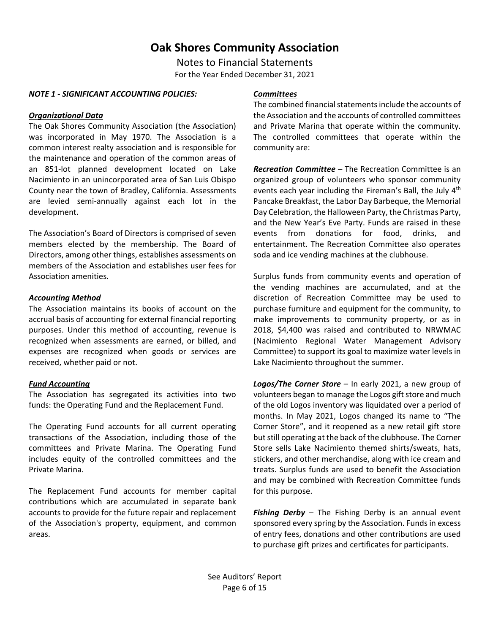Notes to Financial Statements For the Year Ended December 31, 2021

#### *NOTE 1 ‐ SIGNIFICANT ACCOUNTING POLICIES:*

#### *Organizational Data*

The Oak Shores Community Association (the Association) was incorporated in May 1970. The Association is a common interest realty association and is responsible for the maintenance and operation of the common areas of an 851‐lot planned development located on Lake Nacimiento in an unincorporated area of San Luis Obispo County near the town of Bradley, California. Assessments are levied semi‐annually against each lot in the development.

The Association's Board of Directors is comprised of seven members elected by the membership. The Board of Directors, among other things, establishes assessments on members of the Association and establishes user fees for Association amenities.

#### *Accounting Method*

The Association maintains its books of account on the accrual basis of accounting for external financial reporting purposes. Under this method of accounting, revenue is recognized when assessments are earned, or billed, and expenses are recognized when goods or services are received, whether paid or not.

#### *Fund Accounting*

The Association has segregated its activities into two funds: the Operating Fund and the Replacement Fund.

The Operating Fund accounts for all current operating transactions of the Association, including those of the committees and Private Marina. The Operating Fund includes equity of the controlled committees and the Private Marina.

The Replacement Fund accounts for member capital contributions which are accumulated in separate bank accounts to provide for the future repair and replacement of the Association's property, equipment, and common areas.

#### *Committees*

The combined financial statements include the accounts of the Association and the accounts of controlled committees and Private Marina that operate within the community. The controlled committees that operate within the community are:

*Recreation Committee* – The Recreation Committee is an organized group of volunteers who sponsor community events each year including the Fireman's Ball, the July 4<sup>th</sup> Pancake Breakfast, the Labor Day Barbeque, the Memorial Day Celebration, the Halloween Party, the Christmas Party, and the New Year's Eve Party. Funds are raised in these events from donations for food, drinks, and entertainment. The Recreation Committee also operates soda and ice vending machines at the clubhouse.

Surplus funds from community events and operation of the vending machines are accumulated, and at the discretion of Recreation Committee may be used to purchase furniture and equipment for the community, to make improvements to community property, or as in 2018, \$4,400 was raised and contributed to NRWMAC (Nacimiento Regional Water Management Advisory Committee) to support its goal to maximize water levels in Lake Nacimiento throughout the summer.

*Logos/The Corner Store* – In early 2021, a new group of volunteers began to manage the Logos gift store and much of the old Logos inventory was liquidated over a period of months. In May 2021, Logos changed its name to "The Corner Store", and it reopened as a new retail gift store but still operating at the back of the clubhouse. The Corner Store sells Lake Nacimiento themed shirts/sweats, hats, stickers, and other merchandise, along with ice cream and treats. Surplus funds are used to benefit the Association and may be combined with Recreation Committee funds for this purpose.

*Fishing Derby* – The Fishing Derby is an annual event sponsored every spring by the Association. Funds in excess of entry fees, donations and other contributions are used to purchase gift prizes and certificates for participants.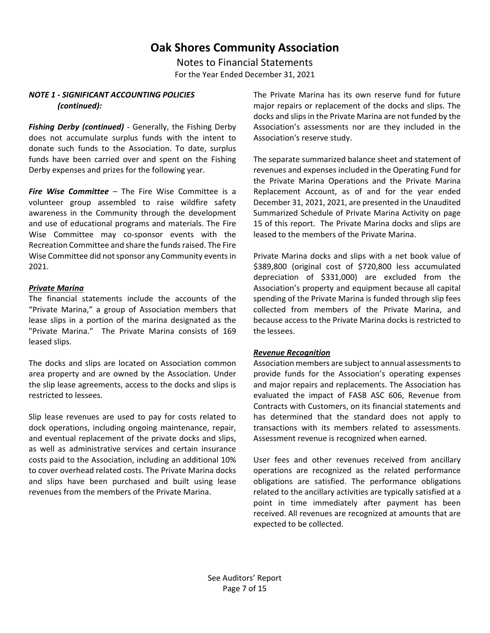Notes to Financial Statements For the Year Ended December 31, 2021

### *NOTE 1 ‐ SIGNIFICANT ACCOUNTING POLICIES (continued):*

*Fishing Derby (continued)* ‐ Generally, the Fishing Derby does not accumulate surplus funds with the intent to donate such funds to the Association. To date, surplus funds have been carried over and spent on the Fishing Derby expenses and prizes for the following year.

*Fire Wise Committee* – The Fire Wise Committee is a volunteer group assembled to raise wildfire safety awareness in the Community through the development and use of educational programs and materials. The Fire Wise Committee may co-sponsor events with the Recreation Committee and share the fundsraised. The Fire Wise Committee did not sponsor any Community events in 2021.

#### *Private Marina*

The financial statements include the accounts of the "Private Marina," a group of Association members that lease slips in a portion of the marina designated as the "Private Marina." The Private Marina consists of 169 leased slips.

The docks and slips are located on Association common area property and are owned by the Association. Under the slip lease agreements, access to the docks and slips is restricted to lessees.

Slip lease revenues are used to pay for costs related to dock operations, including ongoing maintenance, repair, and eventual replacement of the private docks and slips, as well as administrative services and certain insurance costs paid to the Association, including an additional 10% to cover overhead related costs. The Private Marina docks and slips have been purchased and built using lease revenues from the members of the Private Marina.

The Private Marina has its own reserve fund for future major repairs or replacement of the docks and slips. The docks and slips in the Private Marina are not funded by the Association's assessments nor are they included in the Association's reserve study.

The separate summarized balance sheet and statement of revenues and expenses included in the Operating Fund for the Private Marina Operations and the Private Marina Replacement Account, as of and for the year ended December 31, 2021, 2021, are presented in the Unaudited Summarized Schedule of Private Marina Activity on page 15 of this report. The Private Marina docks and slips are leased to the members of the Private Marina.

Private Marina docks and slips with a net book value of \$389,800 (original cost of \$720,800 less accumulated depreciation of \$331,000) are excluded from the Association's property and equipment because all capital spending of the Private Marina is funded through slip fees collected from members of the Private Marina, and because access to the Private Marina docks is restricted to the lessees.

#### *Revenue Recognition*

Association members are subject to annual assessments to provide funds for the Association's operating expenses and major repairs and replacements. The Association has evaluated the impact of FASB ASC 606, Revenue from Contracts with Customers, on its financial statements and has determined that the standard does not apply to transactions with its members related to assessments. Assessment revenue is recognized when earned.

User fees and other revenues received from ancillary operations are recognized as the related performance obligations are satisfied. The performance obligations related to the ancillary activities are typically satisfied at a point in time immediately after payment has been received. All revenues are recognized at amounts that are expected to be collected.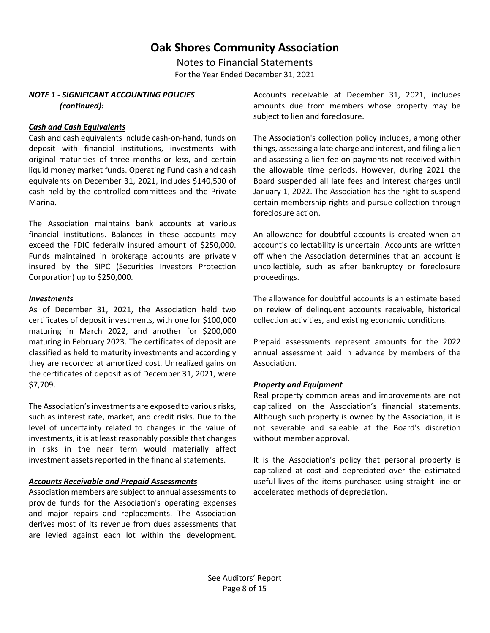Notes to Financial Statements For the Year Ended December 31, 2021

#### *NOTE 1 ‐ SIGNIFICANT ACCOUNTING POLICIES (continued):*

#### *Cash and Cash Equivalents*

Cash and cash equivalents include cash‐on‐hand, funds on deposit with financial institutions, investments with original maturities of three months or less, and certain liquid money market funds. Operating Fund cash and cash equivalents on December 31, 2021, includes \$140,500 of cash held by the controlled committees and the Private Marina.

The Association maintains bank accounts at various financial institutions. Balances in these accounts may exceed the FDIC federally insured amount of \$250,000. Funds maintained in brokerage accounts are privately insured by the SIPC (Securities Investors Protection Corporation) up to \$250,000.

#### *Investments*

As of December 31, 2021, the Association held two certificates of deposit investments, with one for \$100,000 maturing in March 2022, and another for \$200,000 maturing in February 2023. The certificates of deposit are classified as held to maturity investments and accordingly they are recorded at amortized cost. Unrealized gains on the certificates of deposit as of December 31, 2021, were \$7,709.

The Association's investments are exposed to various risks, such as interest rate, market, and credit risks. Due to the level of uncertainty related to changes in the value of investments, it is at least reasonably possible that changes in risks in the near term would materially affect investment assets reported in the financial statements.

#### *Accounts Receivable and Prepaid Assessments*

Association members are subject to annual assessments to provide funds for the Association's operating expenses and major repairs and replacements. The Association derives most of its revenue from dues assessments that are levied against each lot within the development. Accounts receivable at December 31, 2021, includes amounts due from members whose property may be subject to lien and foreclosure.

The Association's collection policy includes, among other things, assessing a late charge and interest, and filing a lien and assessing a lien fee on payments not received within the allowable time periods. However, during 2021 the Board suspended all late fees and interest charges until January 1, 2022. The Association has the right to suspend certain membership rights and pursue collection through foreclosure action.

An allowance for doubtful accounts is created when an account's collectability is uncertain. Accounts are written off when the Association determines that an account is uncollectible, such as after bankruptcy or foreclosure proceedings.

The allowance for doubtful accounts is an estimate based on review of delinquent accounts receivable, historical collection activities, and existing economic conditions.

Prepaid assessments represent amounts for the 2022 annual assessment paid in advance by members of the Association.

### *Property and Equipment*

Real property common areas and improvements are not capitalized on the Association's financial statements. Although such property is owned by the Association, it is not severable and saleable at the Board's discretion without member approval.

It is the Association's policy that personal property is capitalized at cost and depreciated over the estimated useful lives of the items purchased using straight line or accelerated methods of depreciation.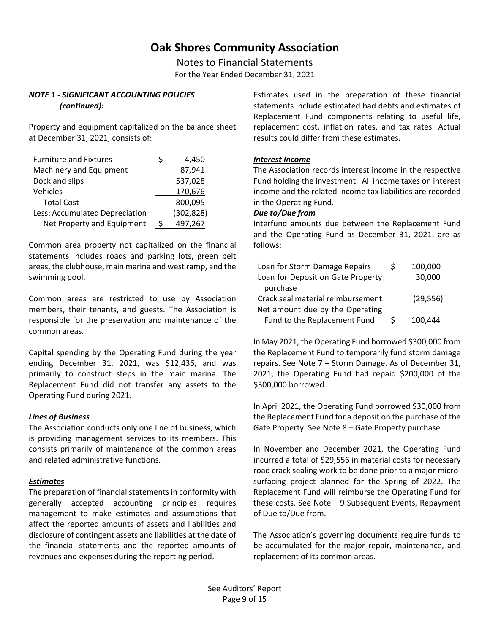Notes to Financial Statements For the Year Ended December 31, 2021

### *NOTE 1 ‐ SIGNIFICANT ACCOUNTING POLICIES (continued):*

Property and equipment capitalized on the balance sheet at December 31, 2021, consists of:

| <b>Furniture and Fixtures</b>  | 4,450      |
|--------------------------------|------------|
| Machinery and Equipment        | 87,941     |
| Dock and slips                 | 537,028    |
| Vehicles                       | 170,676    |
| <b>Total Cost</b>              | 800,095    |
| Less: Accumulated Depreciation | (302, 828) |
| Net Property and Equipment     | 49         |

Common area property not capitalized on the financial statements includes roads and parking lots, green belt areas, the clubhouse, main marina and west ramp, and the swimming pool.

Common areas are restricted to use by Association members, their tenants, and guests. The Association is responsible for the preservation and maintenance of the common areas.

Capital spending by the Operating Fund during the year ending December 31, 2021, was \$12,436, and was primarily to construct steps in the main marina. The Replacement Fund did not transfer any assets to the Operating Fund during 2021.

#### *Lines of Business*

The Association conducts only one line of business, which is providing management services to its members. This consists primarily of maintenance of the common areas and related administrative functions.

#### *Estimates*

The preparation of financial statements in conformity with generally accepted accounting principles requires management to make estimates and assumptions that affect the reported amounts of assets and liabilities and disclosure of contingent assets and liabilities at the date of the financial statements and the reported amounts of revenues and expenses during the reporting period.

Estimates used in the preparation of these financial statements include estimated bad debts and estimates of Replacement Fund components relating to useful life, replacement cost, inflation rates, and tax rates. Actual results could differ from these estimates.

#### *Interest Income*

The Association records interest income in the respective Fund holding the investment. All income taxes on interest income and the related income tax liabilities are recorded in the Operating Fund.

#### *Due to/Due from*

Interfund amounts due between the Replacement Fund and the Operating Fund as December 31, 2021, are as follows:

| Loan for Storm Damage Repairs     | S | 100,000   |
|-----------------------------------|---|-----------|
| Loan for Deposit on Gate Property |   | 30,000    |
| purchase                          |   |           |
| Crack seal material reimbursement |   | (29, 556) |
| Net amount due by the Operating   |   |           |
| Fund to the Replacement Fund      |   | 100.444   |

In May 2021, the Operating Fund borrowed \$300,000 from the Replacement Fund to temporarily fund storm damage repairs. See Note 7 – Storm Damage. As of December 31, 2021, the Operating Fund had repaid \$200,000 of the \$300,000 borrowed.

In April 2021, the Operating Fund borrowed \$30,000 from the Replacement Fund for a deposit on the purchase of the Gate Property. See Note 8 – Gate Property purchase.

In November and December 2021, the Operating Fund incurred a total of \$29,556 in material costs for necessary road crack sealing work to be done prior to a major micro‐ surfacing project planned for the Spring of 2022. The Replacement Fund will reimburse the Operating Fund for these costs. See Note – 9 Subsequent Events, Repayment of Due to/Due from.

The Association's governing documents require funds to be accumulated for the major repair, maintenance, and replacement of its common areas.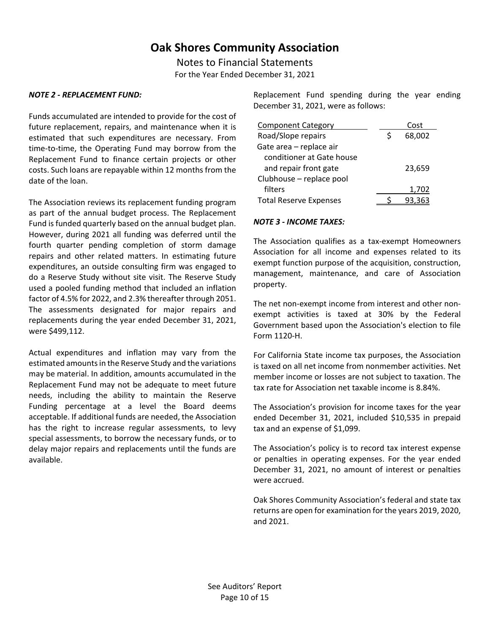Notes to Financial Statements For the Year Ended December 31, 2021

#### *NOTE 2 ‐ REPLACEMENT FUND:*

Funds accumulated are intended to provide for the cost of future replacement, repairs, and maintenance when it is estimated that such expenditures are necessary. From time‐to‐time, the Operating Fund may borrow from the Replacement Fund to finance certain projects or other costs. Such loans are repayable within 12 months from the date of the loan.

The Association reviews its replacement funding program as part of the annual budget process. The Replacement Fund is funded quarterly based on the annual budget plan. However, during 2021 all funding was deferred until the fourth quarter pending completion of storm damage repairs and other related matters. In estimating future expenditures, an outside consulting firm was engaged to do a Reserve Study without site visit. The Reserve Study used a pooled funding method that included an inflation factor of 4.5% for 2022, and 2.3% thereafter through 2051. The assessments designated for major repairs and replacements during the year ended December 31, 2021, were \$499,112.

Actual expenditures and inflation may vary from the estimated amounts in the Reserve Study and the variations may be material. In addition, amounts accumulated in the Replacement Fund may not be adequate to meet future needs, including the ability to maintain the Reserve Funding percentage at a level the Board deems acceptable. If additional funds are needed, the Association has the right to increase regular assessments, to levy special assessments, to borrow the necessary funds, or to delay major repairs and replacements until the funds are available.

Replacement Fund spending during the year ending December 31, 2021, were as follows:

| <b>Component Category</b>     | Cost   |  |
|-------------------------------|--------|--|
| Road/Slope repairs            | 68,002 |  |
| Gate area - replace air       |        |  |
| conditioner at Gate house     |        |  |
| and repair front gate         | 23,659 |  |
| Clubhouse - replace pool      |        |  |
| filters                       | 1,702  |  |
| <b>Total Reserve Expenses</b> |        |  |

#### *NOTE 3 ‐ INCOME TAXES:*

The Association qualifies as a tax-exempt Homeowners Association for all income and expenses related to its exempt function purpose of the acquisition, construction, management, maintenance, and care of Association property.

The net non‐exempt income from interest and other non‐ exempt activities is taxed at 30% by the Federal Government based upon the Association's election to file Form 1120‐H.

For California State income tax purposes, the Association is taxed on all net income from nonmember activities. Net member income or losses are not subject to taxation. The tax rate for Association net taxable income is 8.84%.

The Association's provision for income taxes for the year ended December 31, 2021, included \$10,535 in prepaid tax and an expense of \$1,099.

The Association's policy is to record tax interest expense or penalties in operating expenses. For the year ended December 31, 2021, no amount of interest or penalties were accrued.

Oak Shores Community Association's federal and state tax returns are open for examination for the years 2019, 2020, and 2021.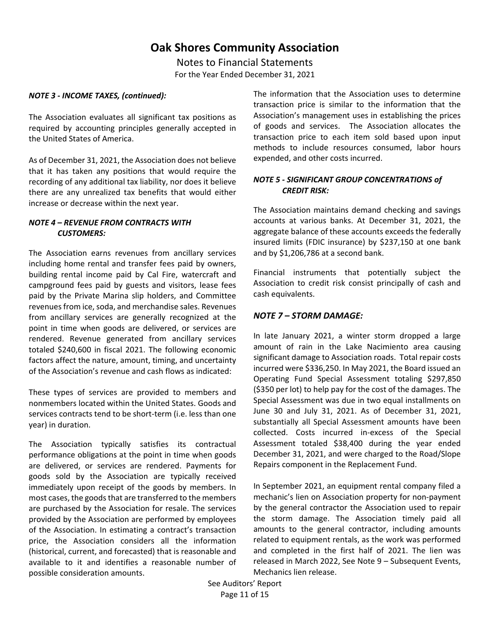Notes to Financial Statements For the Year Ended December 31, 2021

#### *NOTE 3 ‐ INCOME TAXES, (continued):*

The Association evaluates all significant tax positions as required by accounting principles generally accepted in the United States of America.

As of December 31, 2021, the Association does not believe that it has taken any positions that would require the recording of any additional tax liability, nor does it believe there are any unrealized tax benefits that would either increase or decrease within the next year.

#### *NOTE 4 – REVENUE FROM CONTRACTS WITH CUSTOMERS:*

The Association earns revenues from ancillary services including home rental and transfer fees paid by owners, building rental income paid by Cal Fire, watercraft and campground fees paid by guests and visitors, lease fees paid by the Private Marina slip holders, and Committee revenues from ice, soda, and merchandise sales. Revenues from ancillary services are generally recognized at the point in time when goods are delivered, or services are rendered. Revenue generated from ancillary services totaled \$240,600 in fiscal 2021. The following economic factors affect the nature, amount, timing, and uncertainty of the Association's revenue and cash flows as indicated:

These types of services are provided to members and nonmembers located within the United States. Goods and services contracts tend to be short-term (i.e. less than one year) in duration.

The Association typically satisfies its contractual performance obligations at the point in time when goods are delivered, or services are rendered. Payments for goods sold by the Association are typically received immediately upon receipt of the goods by members. In most cases, the goods that are transferred to the members are purchased by the Association for resale. The services provided by the Association are performed by employees of the Association. In estimating a contract's transaction price, the Association considers all the information (historical, current, and forecasted) that is reasonable and available to it and identifies a reasonable number of possible consideration amounts.

The information that the Association uses to determine transaction price is similar to the information that the Association's management uses in establishing the prices of goods and services. The Association allocates the transaction price to each item sold based upon input methods to include resources consumed, labor hours expended, and other costs incurred.

#### *NOTE 5 ‐ SIGNIFICANT GROUP CONCENTRATIONS of CREDIT RISK:*

The Association maintains demand checking and savings accounts at various banks. At December 31, 2021, the aggregate balance of these accounts exceeds the federally insured limits (FDIC insurance) by \$237,150 at one bank and by \$1,206,786 at a second bank.

Financial instruments that potentially subject the Association to credit risk consist principally of cash and cash equivalents.

#### *NOTE 7 – STORM DAMAGE:*

In late January 2021, a winter storm dropped a large amount of rain in the Lake Nacimiento area causing significant damage to Association roads. Total repair costs incurred were \$336,250. In May 2021, the Board issued an Operating Fund Special Assessment totaling \$297,850 (\$350 per lot) to help pay for the cost of the damages. The Special Assessment was due in two equal installments on June 30 and July 31, 2021. As of December 31, 2021, substantially all Special Assessment amounts have been collected. Costs incurred in‐excess of the Special Assessment totaled \$38,400 during the year ended December 31, 2021, and were charged to the Road/Slope Repairs component in the Replacement Fund.

In September 2021, an equipment rental company filed a mechanic's lien on Association property for non‐payment by the general contractor the Association used to repair the storm damage. The Association timely paid all amounts to the general contractor, including amounts related to equipment rentals, as the work was performed and completed in the first half of 2021. The lien was released in March 2022, See Note 9 – Subsequent Events, Mechanics lien release.

See Auditors' Report Page 11 of 15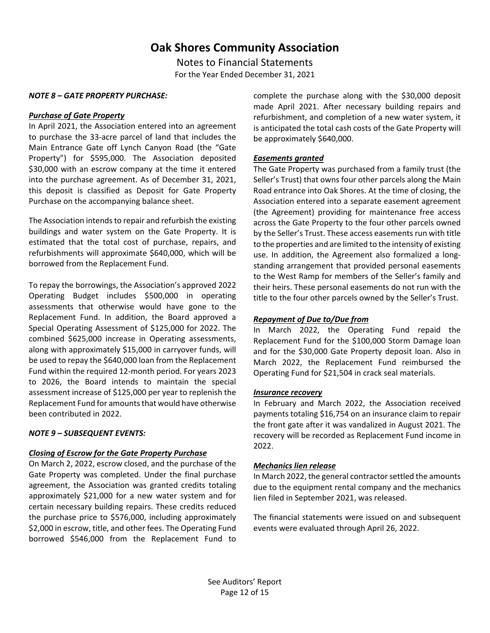Notes to Financial Statements For the Year Ended December 31, 2021

#### *NOTE 8 – GATE PROPERTY PURCHASE:*

#### *Purchase of Gate Property*

In April 2021, the Association entered into an agreement to purchase the 33‐acre parcel of land that includes the Main Entrance Gate off Lynch Canyon Road (the "Gate Property") for \$595,000. The Association deposited \$30,000 with an escrow company at the time it entered into the purchase agreement. As of December 31, 2021, this deposit is classified as Deposit for Gate Property Purchase on the accompanying balance sheet.

The Association intends to repair and refurbish the existing buildings and water system on the Gate Property. It is estimated that the total cost of purchase, repairs, and refurbishments will approximate \$640,000, which will be borrowed from the Replacement Fund.

To repay the borrowings, the Association's approved 2022 Operating Budget includes \$500,000 in operating assessments that otherwise would have gone to the Replacement Fund. In addition, the Board approved a Special Operating Assessment of \$125,000 for 2022. The combined \$625,000 increase in Operating assessments, along with approximately \$15,000 in carryover funds, will be used to repay the \$640,000 loan from the Replacement Fund within the required 12‐month period. For years 2023 to 2026, the Board intends to maintain the special assessment increase of \$125,000 per year to replenish the Replacement Fund for amounts that would have otherwise been contributed in 2022.

#### *NOTE 9 – SUBSEQUENT EVENTS:*

#### *Closing of Escrow for the Gate Property Purchase*

On March 2, 2022, escrow closed, and the purchase of the Gate Property was completed. Under the final purchase agreement, the Association was granted credits totaling approximately \$21,000 for a new water system and for certain necessary building repairs. These credits reduced the purchase price to \$576,000, including approximately \$2,000 in escrow, title, and other fees. The Operating Fund borrowed \$546,000 from the Replacement Fund to complete the purchase along with the \$30,000 deposit made April 2021. After necessary building repairs and refurbishment, and completion of a new water system, it is anticipated the total cash costs of the Gate Property will be approximately \$640,000.

#### *Easements granted*

The Gate Property was purchased from a family trust (the Seller's Trust) that owns four other parcels along the Main Road entrance into Oak Shores. At the time of closing, the Association entered into a separate easement agreement (the Agreement) providing for maintenance free access across the Gate Property to the four other parcels owned by the Seller's Trust. These access easements run with title to the properties and are limited to the intensity of existing use. In addition, the Agreement also formalized a long‐ standing arrangement that provided personal easements to the West Ramp for members of the Seller's family and their heirs. These personal easements do not run with the title to the four other parcels owned by the Seller's Trust.

#### *Repayment of Due to/Due from*

In March 2022, the Operating Fund repaid the Replacement Fund for the \$100,000 Storm Damage loan and for the \$30,000 Gate Property deposit loan. Also in March 2022, the Replacement Fund reimbursed the Operating Fund for \$21,504 in crack seal materials.

#### *Insurance recovery*

In February and March 2022, the Association received payments totaling \$16,754 on an insurance claim to repair the front gate after it was vandalized in August 2021. The recovery will be recorded as Replacement Fund income in 2022.

#### *Mechanics lien release*

In March 2022, the general contractor settled the amounts due to the equipment rental company and the mechanics lien filed in September 2021, was released.

The financial statements were issued on and subsequent events were evaluated through April 26, 2022.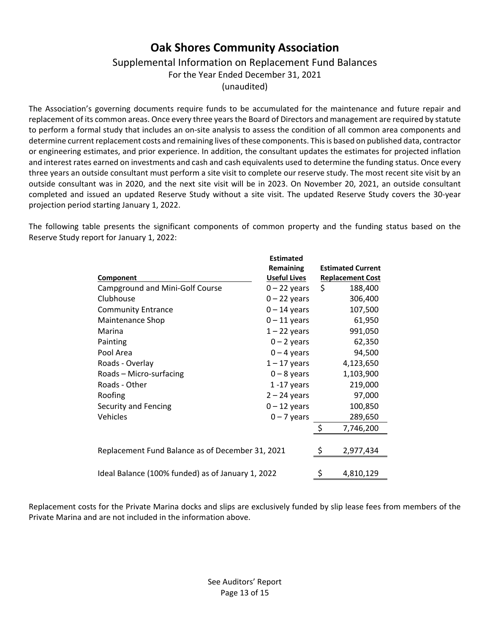### Supplemental Information on Replacement Fund Balances

For the Year Ended December 31, 2021

(unaudited)

The Association's governing documents require funds to be accumulated for the maintenance and future repair and replacement of its common areas. Once every three years the Board of Directors and management are required by statute to perform a formal study that includes an on-site analysis to assess the condition of all common area components and determine current replacement costs and remaining lives of these components. This is based on published data, contractor or engineering estimates, and prior experience. In addition, the consultant updates the estimates for projected inflation and interest rates earned on investments and cash and cash equivalents used to determine the funding status. Once every three years an outside consultant must perform a site visit to complete our reserve study. The most recent site visit by an outside consultant was in 2020, and the next site visit will be in 2023. On November 20, 2021, an outside consultant completed and issued an updated Reserve Study without a site visit. The updated Reserve Study covers the 30‐year projection period starting January 1, 2022.

The following table presents the significant components of common property and the funding status based on the Reserve Study report for January 1, 2022:

|                                                   | <b>Estimated</b> |                          |
|---------------------------------------------------|------------------|--------------------------|
|                                                   | Remaining        | <b>Estimated Current</b> |
| <b>Component</b>                                  | Useful Lives     | <b>Replacement Cost</b>  |
| Campground and Mini-Golf Course                   | $0 - 22$ years   | \$<br>188,400            |
| Clubhouse                                         | $0 - 22$ years   | 306,400                  |
| <b>Community Entrance</b>                         | $0 - 14$ years   | 107,500                  |
| Maintenance Shop                                  | $0 - 11$ years   | 61,950                   |
| Marina                                            | $1 - 22$ years   | 991,050                  |
| Painting                                          | $0 - 2$ years    | 62,350                   |
| Pool Area                                         | $0 - 4$ years    | 94,500                   |
| Roads - Overlay                                   | $1 - 17$ years   | 4,123,650                |
| Roads - Micro-surfacing                           | $0 - 8$ years    | 1,103,900                |
| Roads - Other                                     | $1 - 17$ years   | 219,000                  |
| Roofing                                           | $2 - 24$ years   | 97,000                   |
| Security and Fencing                              | $0 - 12$ years   | 100,850                  |
| Vehicles                                          | $0 - 7$ years    | 289,650                  |
|                                                   |                  | \$<br>7,746,200          |
|                                                   |                  |                          |
| Replacement Fund Balance as of December 31, 2021  |                  | \$<br>2,977,434          |
|                                                   |                  |                          |
| Ideal Balance (100% funded) as of January 1, 2022 |                  | \$<br>4,810,129          |

Replacement costs for the Private Marina docks and slips are exclusively funded by slip lease fees from members of the Private Marina and are not included in the information above.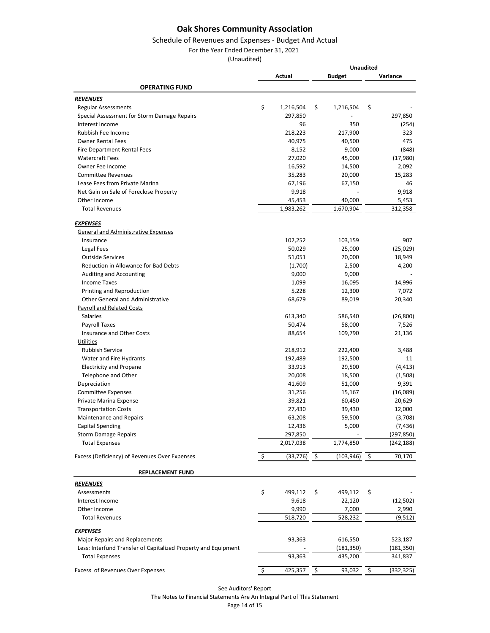#### Schedule of Revenues and Expenses ‐ Budget And Actual

#### For the Year Ended December 31, 2021

(Unaudited)

|                                                                |    |               | <b>Unaudited</b> |    |            |  |  |
|----------------------------------------------------------------|----|---------------|------------------|----|------------|--|--|
|                                                                |    | <b>Actual</b> | <b>Budget</b>    |    | Variance   |  |  |
| <b>OPERATING FUND</b>                                          |    |               |                  |    |            |  |  |
| <b>REVENUES</b>                                                |    |               |                  |    |            |  |  |
| <b>Regular Assessments</b>                                     | \$ | 1,216,504     | \$<br>1,216,504  | \$ |            |  |  |
| Special Assessment for Storm Damage Repairs                    |    | 297,850       |                  |    | 297,850    |  |  |
| Interest Income                                                |    | 96            | 350              |    | (254)      |  |  |
| Rubbish Fee Income                                             |    | 218,223       | 217,900          |    | 323        |  |  |
| <b>Owner Rental Fees</b>                                       |    | 40,975        | 40,500           |    | 475        |  |  |
| Fire Department Rental Fees                                    |    | 8,152         | 9,000            |    | (848)      |  |  |
| <b>Watercraft Fees</b>                                         |    | 27,020        | 45,000           |    | (17,980)   |  |  |
| Owner Fee Income                                               |    | 16,592        | 14,500           |    | 2,092      |  |  |
| <b>Committee Revenues</b>                                      |    | 35,283        | 20,000           |    | 15,283     |  |  |
| Lease Fees from Private Marina                                 |    | 67,196        | 67,150           |    | 46         |  |  |
| Net Gain on Sale of Foreclose Property                         |    | 9,918         |                  |    | 9,918      |  |  |
| Other Income                                                   |    | 45,453        | 40,000           |    | 5,453      |  |  |
| <b>Total Revenues</b>                                          |    | 1,983,262     | 1,670,904        |    | 312,358    |  |  |
| <b>EXPENSES</b>                                                |    |               |                  |    |            |  |  |
| <b>General and Administrative Expenses</b>                     |    |               |                  |    |            |  |  |
| Insurance                                                      |    | 102,252       | 103,159          |    | 907        |  |  |
| Legal Fees                                                     |    | 50,029        | 25,000           |    | (25,029)   |  |  |
| <b>Outside Services</b>                                        |    | 51,051        | 70,000           |    | 18,949     |  |  |
| <b>Reduction in Allowance for Bad Debts</b>                    |    | (1,700)       | 2,500            |    | 4,200      |  |  |
| Auditing and Accounting                                        |    | 9,000         | 9,000            |    |            |  |  |
| <b>Income Taxes</b>                                            |    | 1,099         | 16,095           |    | 14,996     |  |  |
| Printing and Reproduction                                      |    | 5,228         | 12,300           |    | 7,072      |  |  |
| <b>Other General and Administrative</b>                        |    | 68,679        | 89,019           |    | 20,340     |  |  |
| <b>Payroll and Related Costs</b>                               |    |               |                  |    |            |  |  |
| <b>Salaries</b>                                                |    | 613,340       | 586,540          |    | (26, 800)  |  |  |
| Payroll Taxes                                                  |    | 50,474        | 58,000           |    | 7,526      |  |  |
| Insurance and Other Costs                                      |    | 88,654        | 109,790          |    | 21,136     |  |  |
| Utilities                                                      |    |               |                  |    |            |  |  |
| <b>Rubbish Service</b>                                         |    | 218,912       | 222,400          |    | 3,488      |  |  |
| Water and Fire Hydrants                                        |    | 192,489       | 192,500          |    | 11         |  |  |
| <b>Electricity and Propane</b>                                 |    | 33,913        | 29,500           |    | (4,413)    |  |  |
| Telephone and Other                                            |    | 20,008        | 18,500           |    | (1,508)    |  |  |
| Depreciation                                                   |    | 41,609        | 51,000           |    | 9,391      |  |  |
| <b>Committee Expenses</b>                                      |    | 31,256        | 15,167           |    | (16,089)   |  |  |
| Private Marina Expense                                         |    | 39,821        | 60,450           |    | 20,629     |  |  |
| <b>Transportation Costs</b>                                    |    | 27,430        | 39,430           |    | 12,000     |  |  |
| <b>Maintenance and Repairs</b>                                 |    | 63,208        | 59,500           |    | (3,708)    |  |  |
| <b>Capital Spending</b>                                        |    | 12,436        | 5,000            |    | (7, 436)   |  |  |
| <b>Storm Damage Repairs</b>                                    |    | 297,850       |                  |    | (297,850)  |  |  |
| <b>Total Expenses</b>                                          |    | 2,017,038     | 1,774,850        |    | (242, 188) |  |  |
| Excess (Deficiency) of Revenues Over Expenses                  | \$ | (33, 776)     | \$<br>(103, 946) | \$ | 70,170     |  |  |
| <b>REPLACEMENT FUND</b>                                        |    |               |                  |    |            |  |  |
| <b>REVENUES</b>                                                |    |               |                  |    |            |  |  |
| Assessments                                                    | \$ | 499,112       | \$<br>499,112    | \$ |            |  |  |
| Interest Income                                                |    | 9,618         | 22,120           |    | (12, 502)  |  |  |
| Other Income                                                   |    | 9,990         | 7,000            |    | 2,990      |  |  |
| <b>Total Revenues</b>                                          |    | 518,720       | 528,232          |    | (9,512)    |  |  |
| <b>EXPENSES</b>                                                |    |               |                  |    |            |  |  |
| Major Repairs and Replacements                                 |    | 93,363        | 616,550          |    | 523,187    |  |  |
| Less: Interfund Transfer of Capitalized Property and Equipment |    |               | (181,350)        |    | (181, 350) |  |  |
| <b>Total Expenses</b>                                          |    | 93,363        | 435,200          |    | 341,837    |  |  |
| Excess of Revenues Over Expenses                               | \$ | 425,357       | \$<br>93,032     | \$ | (332, 325) |  |  |

See Auditors' Report

The Notes to Financial Statements Are An Integral Part of This Statement